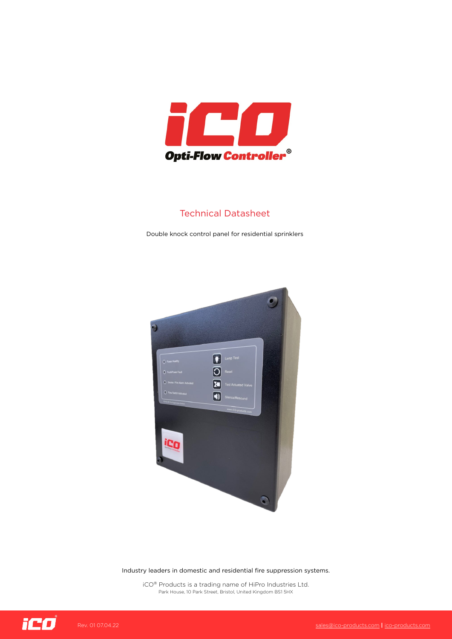

## Technical Datasheet

Double knock control panel for residential sprinklers



Industry leaders in domestic and residential fire suppression systems.

iCO® Products is a trading name of HiPro Industries Ltd. Park House, 10 Park Street, Bristol, United Kingdom BS1 5HX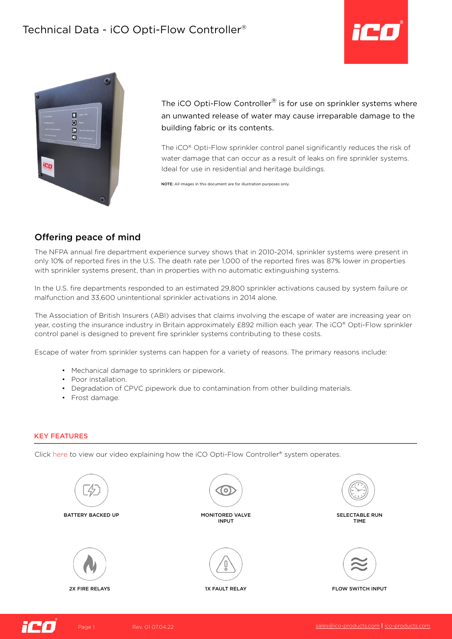# Technical Data - iCO Opti-Flow Controller®





The iCO Opti-Flow Controller<sup>®</sup> is for use on sprinkler systems where an unwanted release of water may cause irreparable damage to the building fabric or its contents.

The iCO® Opti-Flow sprinkler control panel significantly reduces the risk of water damage that can occur as a result of leaks on fire sprinkler systems. Ideal for use in residential and heritage buildings.

NOTE: All images in this document are for illustration purposes only.

## Offering peace of mind

The NFPA annual fire department experience survey shows that in 2010-2014, sprinkler systems were present in only 10% of reported fires in the U.S. The death rate per 1,000 of the reported fires was 87% lower in properties with sprinkler systems present, than in properties with no automatic extinguishing systems.

In the U.S. fire departments responded to an estimated 29,800 sprinkler activations caused by system failure or malfunction and 33,600 unintentional sprinkler activations in 2014 alone.

The Association of British Insurers (ABI) advises that claims involving the escape of water are increasing year on year, costing the insurance industry in Britain approximately £892 million each year. The iCO® Opti-Flow sprinkler control panel is designed to prevent fire sprinkler systems contributing to these costs.

Escape of water from sprinkler systems can happen for a variety of reasons. The primary reasons include:

- Mechanical damage to sprinklers or pipework.
- Poor installation.
- Degradation of CPVC pipework due to contamination from other building materials.
- Frost damage.

#### KEY FEATURES

Click here to view our video explaining how the iCO Opti-Flow Controller® system operates.





Page 1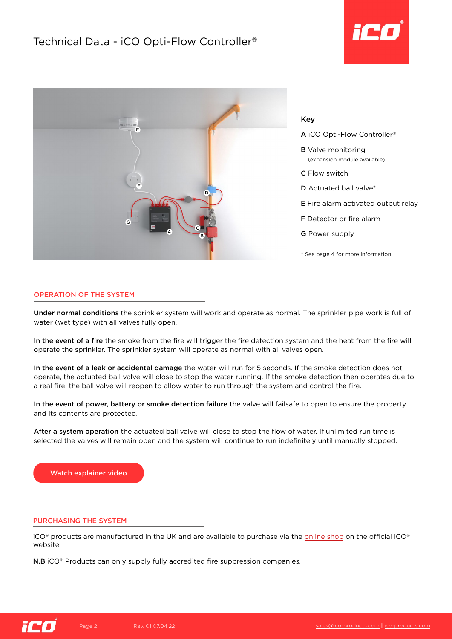



### Key

- A iCO Opti-Flow Controller®
- **B** Valve monitoring (expansion module available)
- C Flow switch
- D Actuated ball valve\*
- E Fire alarm activated output relay
- F Detector or fire alarm
- G Power supply
- \* See page 4 for more information

### OPERATION OF THE SYSTEM

Under normal conditions the sprinkler system will work and operate as normal. The sprinkler pipe work is full of water (wet type) with all valves fully open.

In the event of a fire the smoke from the fire will trigger the fire detection system and the heat from the fire will operate the sprinkler. The sprinkler system will operate as normal with all valves open.

In the event of a leak or accidental damage the water will run for 5 seconds. If the smoke detection does not operate, the actuated ball valve will close to stop the water running. If the smoke detection then operates due to a real fire, the ball valve will reopen to allow water to run through the system and control the fire.

In the event of power, battery or smoke detection failure the valve will failsafe to open to ensure the property and its contents are protected.

After a system operation the actuated ball valve will close to stop the flow of water. If unlimited run time is selected the valves will remain open and the system will continue to run indefinitely until manually stopped.

Watch explainer video

#### PURCHASING THE SYSTEM

 $iCO<sup>®</sup>$  products are manufactured in the UK and are available to purchase via the [online shop](https://ico-products.com/shop/) on the official iCO<sup>®</sup> website.

**N.B** iCO<sup>®</sup> Products can only supply fully accredited fire suppression companies.

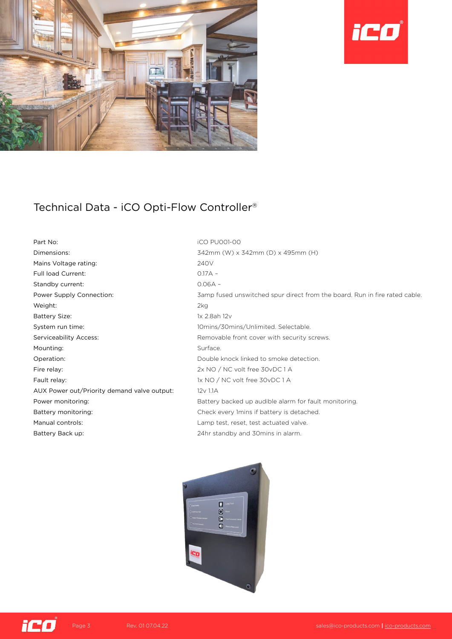



# Technical Data - iCO Opti-Flow Controller®

Part No: iCO PU001-00 Dimensions: 342mm (W) x 342mm (D) x 495mm (H) Mains Voltage rating: 240V Full load Current: 0.17A – Standby current: 0.06A – Weight: 2kg Battery Size: 1x 2.8ah 12v System run time: 10mins/30mins/Unlimited. Selectable. Serviceability Access: external serviceability Access: Removable front cover with security screws. Mounting: Surface. Operation: Double knock linked to smoke detection. Fire relay:  $2x NO / NC$  volt free 30vDC 1 A Fault relay: 1x NO / NC volt free 30vDC 1 A AUX Power out/Priority demand valve output: 12v 1.1A Battery monitoring: Check every 1mins if battery is detached. Manual controls: Lamp test, reset, test actuated valve. Battery Back up: 24hr standby and 30mins in alarm.

Power Supply Connection: 3amp fused unswitched spur direct from the board. Run in fire rated cable. Power monitoring: example alarm for fault monitoring.<br>Battery backed up audible alarm for fault monitoring.